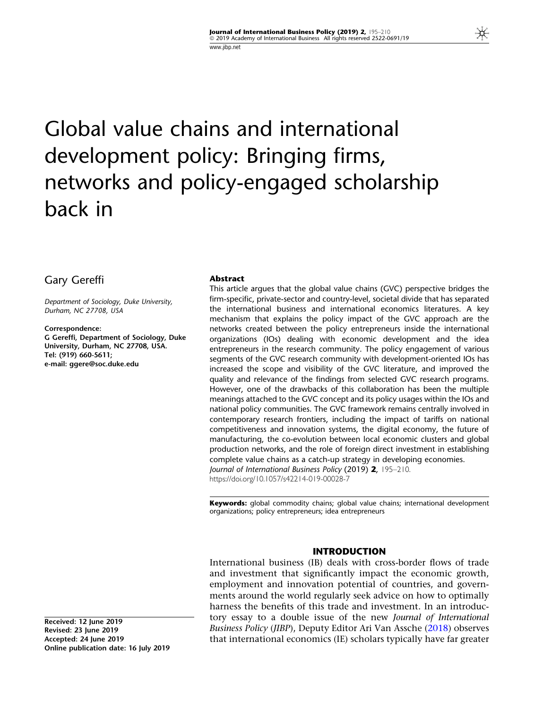# Global value chains and international development policy: Bringing firms, networks and policy-engaged scholarship back in

## Gary Gereffi

Department of Sociology, Duke University, Durham, NC 27708, USA

Correspondence: G Gereffi, Department of Sociology, Duke University, Durham, NC 27708, USA. Tel: (919) 660-5611; e-mail: ggere@soc.duke.edu

#### Abstract

This article argues that the global value chains (GVC) perspective bridges the firm-specific, private-sector and country-level, societal divide that has separated the international business and international economics literatures. A key mechanism that explains the policy impact of the GVC approach are the networks created between the policy entrepreneurs inside the international organizations (IOs) dealing with economic development and the idea entrepreneurs in the research community. The policy engagement of various segments of the GVC research community with development-oriented IOs has increased the scope and visibility of the GVC literature, and improved the quality and relevance of the findings from selected GVC research programs. However, one of the drawbacks of this collaboration has been the multiple meanings attached to the GVC concept and its policy usages within the IOs and national policy communities. The GVC framework remains centrally involved in contemporary research frontiers, including the impact of tariffs on national competitiveness and innovation systems, the digital economy, the future of manufacturing, the co-evolution between local economic clusters and global production networks, and the role of foreign direct investment in establishing complete value chains as a catch-up strategy in developing economies. Journal of International Business Policy (2019) 2, 195-210. https://doi.org/10.1057/s42214-019-00028-7

Keywords: global commodity chains; global value chains; international development organizations; policy entrepreneurs; idea entrepreneurs

#### INTRODUCTION

International business (IB) deals with cross-border flows of trade and investment that significantly impact the economic growth, employment and innovation potential of countries, and governments around the world regularly seek advice on how to optimally harness the benefits of this trade and investment. In an introductory essay to a double issue of the new Journal of International Business Policy (JIBP), Deputy Editor Ari Van Assche [\(2018](#page-15-0)) observes that international economics (IE) scholars typically have far greater

Received: 12 June 2019 Revised: 23 June 2019 Accepted: 24 June 2019 Online publication date: 16 July 2019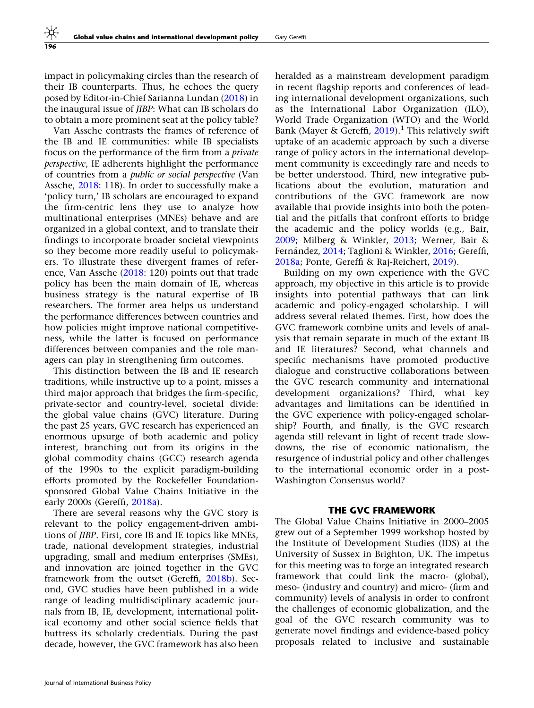impact in policymaking circles than the research of their IB counterparts. Thus, he echoes the query posed by Editor-in-Chief Sarianna Lundan ([2018\)](#page-14-0) in the inaugural issue of JIBP: What can IB scholars do to obtain a more prominent seat at the policy table?

Van Assche contrasts the frames of reference of the IB and IE communities: while IB specialists focus on the performance of the firm from a private perspective, IE adherents highlight the performance of countries from a public or social perspective (Van Assche, [2018](#page-15-0): 118). In order to successfully make a 'policy turn,' IB scholars are encouraged to expand the firm-centric lens they use to analyze how multinational enterprises (MNEs) behave and are organized in a global context, and to translate their findings to incorporate broader societal viewpoints so they become more readily useful to policymakers. To illustrate these divergent frames of reference, Van Assche ([2018](#page-15-0): 120) points out that trade policy has been the main domain of IE, whereas business strategy is the natural expertise of IB researchers. The former area helps us understand the performance differences between countries and how policies might improve national competitiveness, while the latter is focused on performance differences between companies and the role managers can play in strengthening firm outcomes.

This distinction between the IB and IE research traditions, while instructive up to a point, misses a third major approach that bridges the firm-specific, private-sector and country-level, societal divide: the global value chains (GVC) literature. During the past 25 years, GVC research has experienced an enormous upsurge of both academic and policy interest, branching out from its origins in the global commodity chains (GCC) research agenda of the 1990s to the explicit paradigm-building efforts promoted by the Rockefeller Foundationsponsored Global Value Chains Initiative in the early 2000s (Gereffi, [2018a\)](#page-14-0).

There are several reasons why the GVC story is relevant to the policy engagement-driven ambitions of JIBP. First, core IB and IE topics like MNEs, trade, national development strategies, industrial upgrading, small and medium enterprises (SMEs), and innovation are joined together in the GVC framework from the outset (Gereffi, [2018b\)](#page-14-0). Second, GVC studies have been published in a wide range of leading multidisciplinary academic journals from IB, IE, development, international political economy and other social science fields that buttress its scholarly credentials. During the past decade, however, the GVC framework has also been

heralded as a mainstream development paradigm in recent flagship reports and conferences of leading international development organizations, such as the International Labor Organization (ILO), World Trade Organization (WTO) and the World Bank (Mayer & Gereffi,  $2019$ ).<sup>1</sup> This relatively swift uptake of an academic approach by such a diverse range of policy actors in the international development community is exceedingly rare and needs to be better understood. Third, new integrative publications about the evolution, maturation and contributions of the GVC framework are now available that provide insights into both the potential and the pitfalls that confront efforts to bridge the academic and the policy worlds (e.g., Bair, [2009;](#page-13-0) Milberg & Winkler, [2013](#page-14-0); Werner, Bair & Fernández, [2014](#page-15-0); Taglioni & Winkler, [2016;](#page-15-0) Gereffi, [2018a;](#page-14-0) Ponte, Gereffi & Raj-Reichert, [2019\)](#page-14-0).

Building on my own experience with the GVC approach, my objective in this article is to provide insights into potential pathways that can link academic and policy-engaged scholarship. I will address several related themes. First, how does the GVC framework combine units and levels of analysis that remain separate in much of the extant IB and IE literatures? Second, what channels and specific mechanisms have promoted productive dialogue and constructive collaborations between the GVC research community and international development organizations? Third, what key advantages and limitations can be identified in the GVC experience with policy-engaged scholarship? Fourth, and finally, is the GVC research agenda still relevant in light of recent trade slowdowns, the rise of economic nationalism, the resurgence of industrial policy and other challenges to the international economic order in a post-Washington Consensus world?

## THE GVC FRAMEWORK

The Global Value Chains Initiative in 2000–2005 grew out of a September 1999 workshop hosted by the Institute of Development Studies (IDS) at the University of Sussex in Brighton, UK. The impetus for this meeting was to forge an integrated research framework that could link the macro- (global), meso- (industry and country) and micro- (firm and community) levels of analysis in order to confront the challenges of economic globalization, and the goal of the GVC research community was to generate novel findings and evidence-based policy proposals related to inclusive and sustainable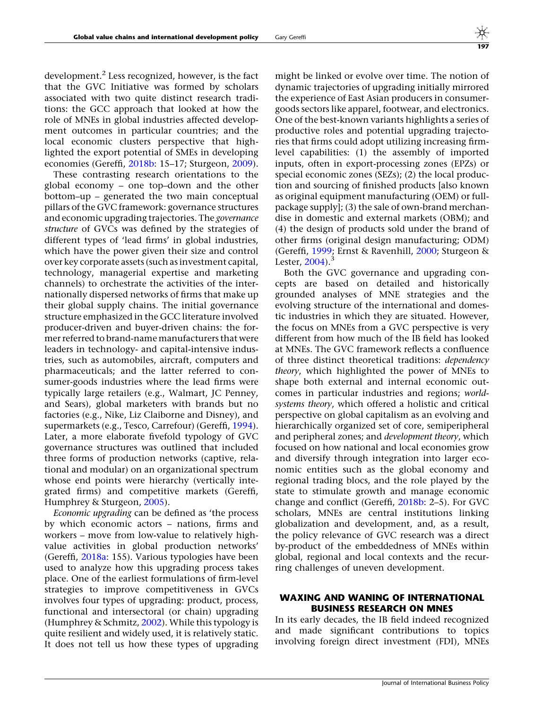development. $<sup>2</sup>$  Less recognized, however, is the fact</sup> that the GVC Initiative was formed by scholars associated with two quite distinct research traditions: the GCC approach that looked at how the role of MNEs in global industries affected development outcomes in particular countries; and the local economic clusters perspective that highlighted the export potential of SMEs in developing economies (Gereffi, [2018b](#page-14-0): 15–17; Sturgeon, [2009\)](#page-14-0).

These contrasting research orientations to the global economy – one top–down and the other bottom–up – generated the two main conceptual pillars of the GVC framework: governance structures and economic upgrading trajectories. The governance structure of GVCs was defined by the strategies of different types of 'lead firms' in global industries, which have the power given their size and control over key corporate assets (such as investment capital, technology, managerial expertise and marketing channels) to orchestrate the activities of the internationally dispersed networks of firms that make up their global supply chains. The initial governance structure emphasized in the GCC literature involved producer-driven and buyer-driven chains: the former referred to brand-name manufacturers that were leaders in technology- and capital-intensive industries, such as automobiles, aircraft, computers and pharmaceuticals; and the latter referred to consumer-goods industries where the lead firms were typically large retailers (e.g., Walmart, JC Penney, and Sears), global marketers with brands but no factories (e.g., Nike, Liz Claiborne and Disney), and supermarkets (e.g., Tesco, Carrefour) (Gereffi, [1994\)](#page-14-0). Later, a more elaborate fivefold typology of GVC governance structures was outlined that included three forms of production networks (captive, relational and modular) on an organizational spectrum whose end points were hierarchy (vertically integrated firms) and competitive markets (Gereffi, Humphrey & Sturgeon, [2005](#page-14-0)).

Economic upgrading can be defined as 'the process by which economic actors – nations, firms and workers – move from low-value to relatively highvalue activities in global production networks' (Gereffi, [2018a:](#page-14-0) 155). Various typologies have been used to analyze how this upgrading process takes place. One of the earliest formulations of firm-level strategies to improve competitiveness in GVCs involves four types of upgrading: product, process, functional and intersectoral (or chain) upgrading (Humphrey & Schmitz,  $2002$ ). While this typology is quite resilient and widely used, it is relatively static. It does not tell us how these types of upgrading

might be linked or evolve over time. The notion of dynamic trajectories of upgrading initially mirrored the experience of East Asian producers in consumergoods sectors like apparel, footwear, and electronics. One of the best-known variants highlights a series of productive roles and potential upgrading trajectories that firms could adopt utilizing increasing firmlevel capabilities: (1) the assembly of imported inputs, often in export-processing zones (EPZs) or special economic zones (SEZs); (2) the local production and sourcing of finished products [also known as original equipment manufacturing (OEM) or fullpackage supply]; (3) the sale of own-brand merchandise in domestic and external markets (OBM); and (4) the design of products sold under the brand of other firms (original design manufacturing; ODM) (Gereffi, [1999](#page-14-0); Ernst & Ravenhill, [2000](#page-13-0); Sturgeon & Lester,  $2004$ ).<sup>3</sup>

Both the GVC governance and upgrading concepts are based on detailed and historically grounded analyses of MNE strategies and the evolving structure of the international and domestic industries in which they are situated. However, the focus on MNEs from a GVC perspective is very different from how much of the IB field has looked at MNEs. The GVC framework reflects a confluence of three distinct theoretical traditions: dependency theory, which highlighted the power of MNEs to shape both external and internal economic outcomes in particular industries and regions; worldsystems theory, which offered a holistic and critical perspective on global capitalism as an evolving and hierarchically organized set of core, semiperipheral and peripheral zones; and development theory, which focused on how national and local economies grow and diversify through integration into larger economic entities such as the global economy and regional trading blocs, and the role played by the state to stimulate growth and manage economic change and conflict (Gereffi, [2018b:](#page-14-0) 2–5). For GVC scholars, MNEs are central institutions linking globalization and development, and, as a result, the policy relevance of GVC research was a direct by-product of the embeddedness of MNEs within global, regional and local contexts and the recurring challenges of uneven development.

## WAXING AND WANING OF INTERNATIONAL BUSINESS RESEARCH ON MNES

In its early decades, the IB field indeed recognized and made significant contributions to topics involving foreign direct investment (FDI), MNEs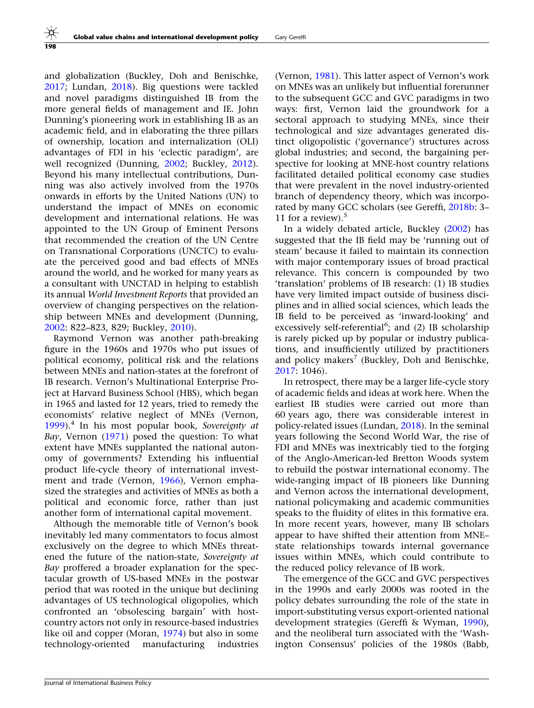and globalization (Buckley, Doh and Benischke, [2017;](#page-13-0) Lundan, [2018](#page-14-0)). Big questions were tackled and novel paradigms distinguished IB from the more general fields of management and IE. John Dunning's pioneering work in establishing IB as an academic field, and in elaborating the three pillars of ownership, location and internalization (OLI) advantages of FDI in his 'eclectic paradigm', are well recognized (Dunning, [2002](#page-13-0); Buckley, [2012\)](#page-13-0). Beyond his many intellectual contributions, Dunning was also actively involved from the 1970s onwards in efforts by the United Nations (UN) to understand the impact of MNEs on economic development and international relations. He was appointed to the UN Group of Eminent Persons that recommended the creation of the UN Centre on Transnational Corporations (UNCTC) to evaluate the perceived good and bad effects of MNEs around the world, and he worked for many years as a consultant with UNCTAD in helping to establish its annual World Investment Reports that provided an overview of changing perspectives on the relationship between MNEs and development (Dunning, [2002:](#page-13-0) 822–823, 829; Buckley, [2010](#page-13-0)).

Raymond Vernon was another path-breaking figure in the 1960s and 1970s who put issues of political economy, political risk and the relations between MNEs and nation-states at the forefront of IB research. Vernon's Multinational Enterprise Project at Harvard Business School (HBS), which began in 1965 and lasted for 12 years, tried to remedy the economists' relative neglect of MNEs (Vernon, [1999\)](#page-15-0).<sup>4</sup> In his most popular book, Sovereignty at Bay, Vernon ([1971\)](#page-15-0) posed the question: To what extent have MNEs supplanted the national autonomy of governments? Extending his influential product life-cycle theory of international investment and trade (Vernon, [1966](#page-15-0)), Vernon emphasized the strategies and activities of MNEs as both a political and economic force, rather than just another form of international capital movement.

Although the memorable title of Vernon's book inevitably led many commentators to focus almost exclusively on the degree to which MNEs threatened the future of the nation-state, Sovereignty at Bay proffered a broader explanation for the spectacular growth of US-based MNEs in the postwar period that was rooted in the unique but declining advantages of US technological oligopolies, which confronted an 'obsolescing bargain' with hostcountry actors not only in resource-based industries like oil and copper (Moran, [1974](#page-14-0)) but also in some technology-oriented manufacturing industries

(Vernon, [1981](#page-15-0)). This latter aspect of Vernon's work on MNEs was an unlikely but influential forerunner to the subsequent GCC and GVC paradigms in two ways: first, Vernon laid the groundwork for a sectoral approach to studying MNEs, since their technological and size advantages generated distinct oligopolistic ('governance') structures across global industries; and second, the bargaining perspective for looking at MNE-host country relations facilitated detailed political economy case studies that were prevalent in the novel industry-oriented branch of dependency theory, which was incorporated by many GCC scholars (see Gereffi, [2018b](#page-14-0): 3– 11 for a review). $5$ 

In a widely debated article, Buckley ([2002\)](#page-13-0) has suggested that the IB field may be 'running out of steam' because it failed to maintain its connection with major contemporary issues of broad practical relevance. This concern is compounded by two 'translation' problems of IB research: (1) IB studies have very limited impact outside of business disciplines and in allied social sciences, which leads the IB field to be perceived as 'inward-looking' and excessively self-referential<sup>6</sup>; and (2) IB scholarship is rarely picked up by popular or industry publications, and insufficiently utilized by practitioners and policy makers<sup>7</sup> (Buckley, Doh and Benischke, [2017:](#page-13-0) 1046).

In retrospect, there may be a larger life-cycle story of academic fields and ideas at work here. When the earliest IB studies were carried out more than 60 years ago, there was considerable interest in policy-related issues (Lundan, [2018\)](#page-14-0). In the seminal years following the Second World War, the rise of FDI and MNEs was inextricably tied to the forging of the Anglo-American-led Bretton Woods system to rebuild the postwar international economy. The wide-ranging impact of IB pioneers like Dunning and Vernon across the international development, national policymaking and academic communities speaks to the fluidity of elites in this formative era. In more recent years, however, many IB scholars appear to have shifted their attention from MNE– state relationships towards internal governance issues within MNEs, which could contribute to the reduced policy relevance of IB work.

The emergence of the GCC and GVC perspectives in the 1990s and early 2000s was rooted in the policy debates surrounding the role of the state in import-substituting versus export-oriented national development strategies (Gereffi & Wyman, [1990](#page-14-0)), and the neoliberal turn associated with the 'Washington Consensus' policies of the 1980s (Babb,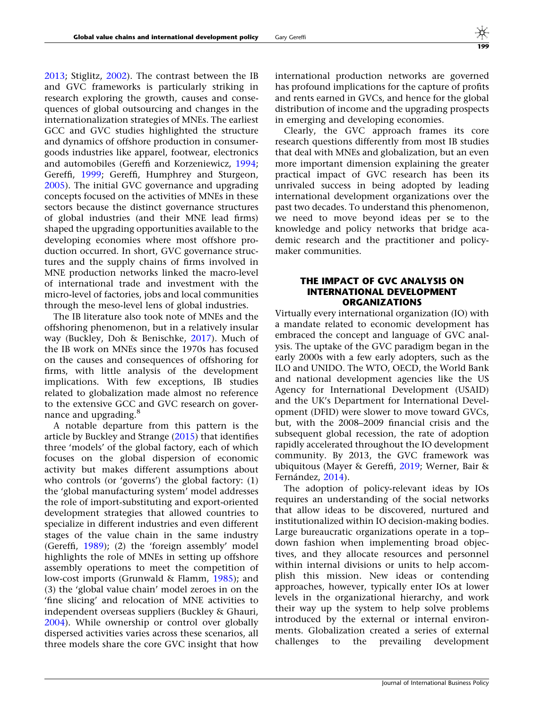[2013;](#page-13-0) Stiglitz, [2002\)](#page-14-0). The contrast between the IB and GVC frameworks is particularly striking in research exploring the growth, causes and consequences of global outsourcing and changes in the internationalization strategies of MNEs. The earliest GCC and GVC studies highlighted the structure and dynamics of offshore production in consumergoods industries like apparel, footwear, electronics and automobiles (Gereffi and Korzeniewicz, [1994;](#page-14-0) Gereffi, [1999](#page-14-0); Gereffi, Humphrey and Sturgeon, [2005\)](#page-14-0). The initial GVC governance and upgrading concepts focused on the activities of MNEs in these sectors because the distinct governance structures of global industries (and their MNE lead firms) shaped the upgrading opportunities available to the developing economies where most offshore production occurred. In short, GVC governance structures and the supply chains of firms involved in MNE production networks linked the macro-level of international trade and investment with the micro-level of factories, jobs and local communities through the meso-level lens of global industries.

The IB literature also took note of MNEs and the offshoring phenomenon, but in a relatively insular way (Buckley, Doh & Benischke, [2017\)](#page-13-0). Much of the IB work on MNEs since the 1970s has focused on the causes and consequences of offshoring for firms, with little analysis of the development implications. With few exceptions, IB studies related to globalization made almost no reference to the extensive GCC and GVC research on governance and upgrading.<sup>8</sup>

A notable departure from this pattern is the article by Buckley and Strange ([2015\)](#page-13-0) that identifies three 'models' of the global factory, each of which focuses on the global dispersion of economic activity but makes different assumptions about who controls (or 'governs') the global factory: (1) the 'global manufacturing system' model addresses the role of import-substituting and export-oriented development strategies that allowed countries to specialize in different industries and even different stages of the value chain in the same industry (Gereffi, [1989\)](#page-13-0); (2) the 'foreign assembly' model highlights the role of MNEs in setting up offshore assembly operations to meet the competition of low-cost imports (Grunwald & Flamm, [1985](#page-14-0)); and (3) the 'global value chain' model zeroes in on the 'fine slicing' and relocation of MNE activities to independent overseas suppliers (Buckley & Ghauri, [2004\)](#page-13-0). While ownership or control over globally dispersed activities varies across these scenarios, all three models share the core GVC insight that how

international production networks are governed has profound implications for the capture of profits and rents earned in GVCs, and hence for the global distribution of income and the upgrading prospects in emerging and developing economies.

Clearly, the GVC approach frames its core research questions differently from most IB studies that deal with MNEs and globalization, but an even more important dimension explaining the greater practical impact of GVC research has been its unrivaled success in being adopted by leading international development organizations over the past two decades. To understand this phenomenon, we need to move beyond ideas per se to the knowledge and policy networks that bridge academic research and the practitioner and policymaker communities.

#### THE IMPACT OF GVC ANALYSIS ON INTERNATIONAL DEVELOPMENT ORGANIZATIONS

Virtually every international organization (IO) with a mandate related to economic development has embraced the concept and language of GVC analysis. The uptake of the GVC paradigm began in the early 2000s with a few early adopters, such as the ILO and UNIDO. The WTO, OECD, the World Bank and national development agencies like the US Agency for International Development (USAID) and the UK's Department for International Development (DFID) were slower to move toward GVCs, but, with the 2008–2009 financial crisis and the subsequent global recession, the rate of adoption rapidly accelerated throughout the IO development community. By 2013, the GVC framework was ubiquitous (Mayer & Gereffi, [2019;](#page-14-0) Werner, Bair & Fernández, [2014\)](#page-15-0).

The adoption of policy-relevant ideas by IOs requires an understanding of the social networks that allow ideas to be discovered, nurtured and institutionalized within IO decision-making bodies. Large bureaucratic organizations operate in a top– down fashion when implementing broad objectives, and they allocate resources and personnel within internal divisions or units to help accomplish this mission. New ideas or contending approaches, however, typically enter IOs at lower levels in the organizational hierarchy, and work their way up the system to help solve problems introduced by the external or internal environments. Globalization created a series of external challenges to the prevailing development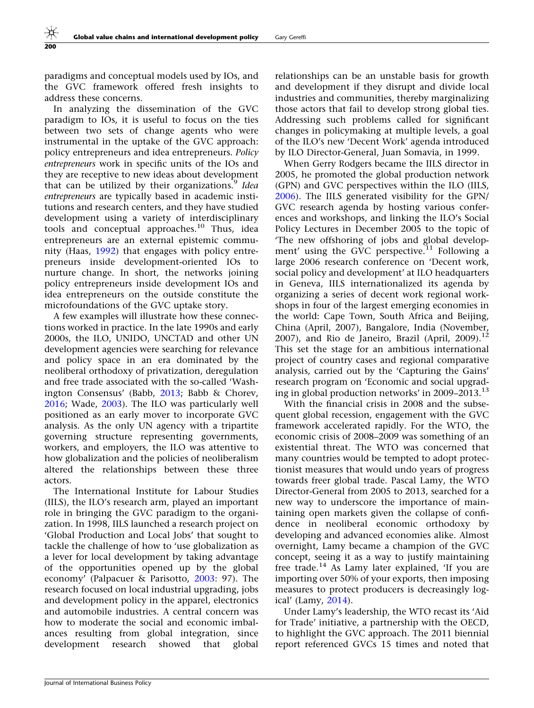paradigms and conceptual models used by IOs, and the GVC framework offered fresh insights to address these concerns.

In analyzing the dissemination of the GVC paradigm to IOs, it is useful to focus on the ties between two sets of change agents who were instrumental in the uptake of the GVC approach: policy entrepreneurs and idea entrepreneurs. Policy entrepreneurs work in specific units of the IOs and they are receptive to new ideas about development that can be utilized by their organizations.<sup>9</sup> Idea entrepreneurs are typically based in academic institutions and research centers, and they have studied development using a variety of interdisciplinary tools and conceptual approaches.<sup>10</sup> Thus, idea entrepreneurs are an external epistemic community (Haas, [1992](#page-14-0)) that engages with policy entrepreneurs inside development-oriented IOs to nurture change. In short, the networks joining policy entrepreneurs inside development IOs and idea entrepreneurs on the outside constitute the microfoundations of the GVC uptake story.

A few examples will illustrate how these connections worked in practice. In the late 1990s and early 2000s, the ILO, UNIDO, UNCTAD and other UN development agencies were searching for relevance and policy space in an era dominated by the neoliberal orthodoxy of privatization, deregulation and free trade associated with the so-called 'Washington Consensus' (Babb, [2013](#page-13-0); Babb & Chorev, [2016;](#page-13-0) Wade, [2003](#page-15-0)). The ILO was particularly well positioned as an early mover to incorporate GVC analysis. As the only UN agency with a tripartite governing structure representing governments, workers, and employers, the ILO was attentive to how globalization and the policies of neoliberalism altered the relationships between these three actors.

The International Institute for Labour Studies (IILS), the ILO's research arm, played an important role in bringing the GVC paradigm to the organization. In 1998, IILS launched a research project on 'Global Production and Local Jobs' that sought to tackle the challenge of how to 'use globalization as a lever for local development by taking advantage of the opportunities opened up by the global economy' (Palpacuer & Parisotto, [2003:](#page-14-0) 97). The research focused on local industrial upgrading, jobs and development policy in the apparel, electronics and automobile industries. A central concern was how to moderate the social and economic imbalances resulting from global integration, since development research showed that global relationships can be an unstable basis for growth and development if they disrupt and divide local industries and communities, thereby marginalizing those actors that fail to develop strong global ties. Addressing such problems called for significant changes in policymaking at multiple levels, a goal of the ILO's new 'Decent Work' agenda introduced by ILO Director-General, Juan Somavia, in 1999.

When Gerry Rodgers became the IILS director in 2005, he promoted the global production network (GPN) and GVC perspectives within the ILO (IILS, [2006\)](#page-14-0). The IILS generated visibility for the GPN/ GVC research agenda by hosting various conferences and workshops, and linking the ILO's Social Policy Lectures in December 2005 to the topic of 'The new offshoring of jobs and global development' using the GVC perspective.<sup>11</sup> Following a large 2006 research conference on 'Decent work, social policy and development' at ILO headquarters in Geneva, IILS internationalized its agenda by organizing a series of decent work regional workshops in four of the largest emerging economies in the world: Cape Town, South Africa and Beijing, China (April, 2007), Bangalore, India (November, 2007), and Rio de Janeiro, Brazil (April, 2009). $^{12}$ This set the stage for an ambitious international project of country cases and regional comparative analysis, carried out by the 'Capturing the Gains' research program on 'Economic and social upgrading in global production networks' in 2009–2013.<sup>13</sup>

With the financial crisis in 2008 and the subsequent global recession, engagement with the GVC framework accelerated rapidly. For the WTO, the economic crisis of 2008–2009 was something of an existential threat. The WTO was concerned that many countries would be tempted to adopt protectionist measures that would undo years of progress towards freer global trade. Pascal Lamy, the WTO Director-General from 2005 to 2013, searched for a new way to underscore the importance of maintaining open markets given the collapse of confidence in neoliberal economic orthodoxy by developing and advanced economies alike. Almost overnight, Lamy became a champion of the GVC concept, seeing it as a way to justify maintaining free trade.<sup>14</sup> As Lamy later explained, 'If you are importing over 50% of your exports, then imposing measures to protect producers is decreasingly logical' (Lamy, [2014\)](#page-14-0).

Under Lamy's leadership, the WTO recast its 'Aid for Trade' initiative, a partnership with the OECD, to highlight the GVC approach. The 2011 biennial report referenced GVCs 15 times and noted that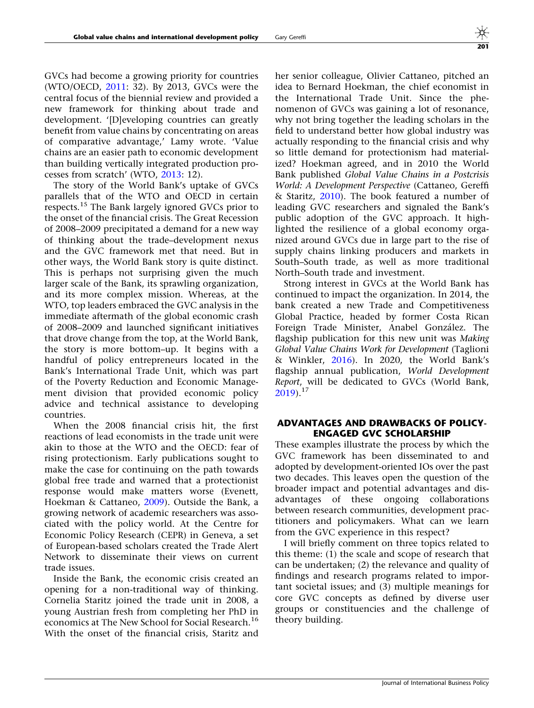GVCs had become a growing priority for countries (WTO/OECD, [2011:](#page-15-0) 32). By 2013, GVCs were the central focus of the biennial review and provided a new framework for thinking about trade and development. '[D]eveloping countries can greatly benefit from value chains by concentrating on areas of comparative advantage,' Lamy wrote. 'Value chains are an easier path to economic development than building vertically integrated production processes from scratch' (WTO, [2013:](#page-15-0) 12).

The story of the World Bank's uptake of GVCs parallels that of the WTO and OECD in certain respects.<sup>15</sup> The Bank largely ignored GVCs prior to the onset of the financial crisis. The Great Recession of 2008–2009 precipitated a demand for a new way of thinking about the trade–development nexus and the GVC framework met that need. But in other ways, the World Bank story is quite distinct. This is perhaps not surprising given the much larger scale of the Bank, its sprawling organization, and its more complex mission. Whereas, at the WTO, top leaders embraced the GVC analysis in the immediate aftermath of the global economic crash of 2008–2009 and launched significant initiatives that drove change from the top, at the World Bank, the story is more bottom–up. It begins with a handful of policy entrepreneurs located in the Bank's International Trade Unit, which was part of the Poverty Reduction and Economic Management division that provided economic policy advice and technical assistance to developing countries.

When the 2008 financial crisis hit, the first reactions of lead economists in the trade unit were akin to those at the WTO and the OECD: fear of rising protectionism. Early publications sought to make the case for continuing on the path towards global free trade and warned that a protectionist response would make matters worse (Evenett, Hoekman & Cattaneo, [2009](#page-13-0)). Outside the Bank, a growing network of academic researchers was associated with the policy world. At the Centre for Economic Policy Research (CEPR) in Geneva, a set of European-based scholars created the Trade Alert Network to disseminate their views on current trade issues.

Inside the Bank, the economic crisis created an opening for a non-traditional way of thinking. Cornelia Staritz joined the trade unit in 2008, a young Austrian fresh from completing her PhD in economics at The New School for Social Research.<sup>16</sup> With the onset of the financial crisis, Staritz and her senior colleague, Olivier Cattaneo, pitched an idea to Bernard Hoekman, the chief economist in the International Trade Unit. Since the phenomenon of GVCs was gaining a lot of resonance, why not bring together the leading scholars in the field to understand better how global industry was actually responding to the financial crisis and why so little demand for protectionism had materialized? Hoekman agreed, and in 2010 the World Bank published Global Value Chains in a Postcrisis World: A Development Perspective (Cattaneo, Gereffi & Staritz, [2010\)](#page-13-0). The book featured a number of leading GVC researchers and signaled the Bank's public adoption of the GVC approach. It highlighted the resilience of a global economy organized around GVCs due in large part to the rise of supply chains linking producers and markets in South–South trade, as well as more traditional North–South trade and investment.

Strong interest in GVCs at the World Bank has continued to impact the organization. In 2014, the bank created a new Trade and Competitiveness Global Practice, headed by former Costa Rican Foreign Trade Minister, Anabel González. The flagship publication for this new unit was Making Global Value Chains Work for Development (Taglioni & Winkler, [2016\)](#page-15-0). In 2020, the World Bank's flagship annual publication, World Development Report, will be dedicated to GVCs (World Bank,  $2019$ .<sup>17</sup>

## ADVANTAGES AND DRAWBACKS OF POLICY-ENGAGED GVC SCHOLARSHIP

These examples illustrate the process by which the GVC framework has been disseminated to and adopted by development-oriented IOs over the past two decades. This leaves open the question of the broader impact and potential advantages and disadvantages of these ongoing collaborations between research communities, development practitioners and policymakers. What can we learn from the GVC experience in this respect?

I will briefly comment on three topics related to this theme: (1) the scale and scope of research that can be undertaken; (2) the relevance and quality of findings and research programs related to important societal issues; and (3) multiple meanings for core GVC concepts as defined by diverse user groups or constituencies and the challenge of theory building.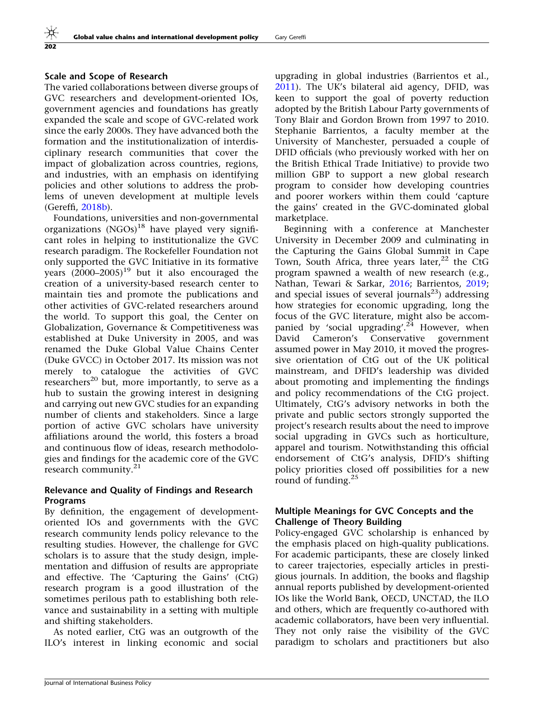## Scale and Scope of Research

The varied collaborations between diverse groups of GVC researchers and development-oriented IOs, government agencies and foundations has greatly expanded the scale and scope of GVC-related work since the early 2000s. They have advanced both the formation and the institutionalization of interdisciplinary research communities that cover the impact of globalization across countries, regions, and industries, with an emphasis on identifying policies and other solutions to address the problems of uneven development at multiple levels (Gereffi, [2018b](#page-14-0)).

Foundations, universities and non-governmental organizations  $(NGOs)^{18}$  have played very significant roles in helping to institutionalize the GVC research paradigm. The Rockefeller Foundation not only supported the GVC Initiative in its formative years  $(2000-2005)^{19}$  but it also encouraged the creation of a university-based research center to maintain ties and promote the publications and other activities of GVC-related researchers around the world. To support this goal, the Center on Globalization, Governance & Competitiveness was established at Duke University in 2005, and was renamed the Duke Global Value Chains Center (Duke GVCC) in October 2017. Its mission was not merely to catalogue the activities of GVC researchers<sup>20</sup> but, more importantly, to serve as a hub to sustain the growing interest in designing and carrying out new GVC studies for an expanding number of clients and stakeholders. Since a large portion of active GVC scholars have university affiliations around the world, this fosters a broad and continuous flow of ideas, research methodologies and findings for the academic core of the GVC research community. $^{21}$ 

## Relevance and Quality of Findings and Research Programs

By definition, the engagement of developmentoriented IOs and governments with the GVC research community lends policy relevance to the resulting studies. However, the challenge for GVC scholars is to assure that the study design, implementation and diffusion of results are appropriate and effective. The 'Capturing the Gains' (CtG) research program is a good illustration of the sometimes perilous path to establishing both relevance and sustainability in a setting with multiple and shifting stakeholders.

As noted earlier, CtG was an outgrowth of the ILO's interest in linking economic and social

upgrading in global industries (Barrientos et al., [2011\)](#page-13-0). The UK's bilateral aid agency, DFID, was keen to support the goal of poverty reduction adopted by the British Labour Party governments of Tony Blair and Gordon Brown from 1997 to 2010. Stephanie Barrientos, a faculty member at the University of Manchester, persuaded a couple of DFID officials (who previously worked with her on the British Ethical Trade Initiative) to provide two million GBP to support a new global research program to consider how developing countries and poorer workers within them could 'capture the gains' created in the GVC-dominated global marketplace.

Beginning with a conference at Manchester University in December 2009 and culminating in the Capturing the Gains Global Summit in Cape Town, South Africa, three years later, $^{22}$  the CtG program spawned a wealth of new research (e.g., Nathan, Tewari & Sarkar, [2016](#page-14-0); Barrientos, [2019;](#page-13-0) and special issues of several journals $^{23}$ ) addressing how strategies for economic upgrading, long the focus of the GVC literature, might also be accompanied by 'social upgrading'.<sup>24</sup> However, when David Cameron's Conservative government assumed power in May 2010, it moved the progressive orientation of CtG out of the UK political mainstream, and DFID's leadership was divided about promoting and implementing the findings and policy recommendations of the CtG project. Ultimately, CtG's advisory networks in both the private and public sectors strongly supported the project's research results about the need to improve social upgrading in GVCs such as horticulture, apparel and tourism. Notwithstanding this official endorsement of CtG's analysis, DFID's shifting policy priorities closed off possibilities for a new round of funding.<sup>25</sup>

## Multiple Meanings for GVC Concepts and the Challenge of Theory Building

Policy-engaged GVC scholarship is enhanced by the emphasis placed on high-quality publications. For academic participants, these are closely linked to career trajectories, especially articles in prestigious journals. In addition, the books and flagship annual reports published by development-oriented IOs like the World Bank, OECD, UNCTAD, the ILO and others, which are frequently co-authored with academic collaborators, have been very influential. They not only raise the visibility of the GVC paradigm to scholars and practitioners but also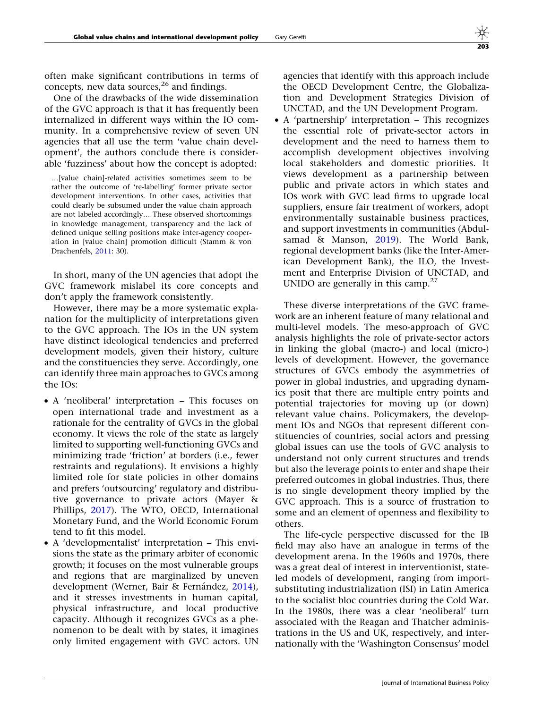often make significant contributions in terms of concepts, new data sources.<sup>26</sup> and findings.

One of the drawbacks of the wide dissemination of the GVC approach is that it has frequently been internalized in different ways within the IO community. In a comprehensive review of seven UN agencies that all use the term 'value chain development', the authors conclude there is considerable 'fuzziness' about how the concept is adopted:

…[value chain]-related activities sometimes seem to be rather the outcome of 're-labelling' former private sector development interventions. In other cases, activities that could clearly be subsumed under the value chain approach are not labeled accordingly… These observed shortcomings in knowledge management, transparency and the lack of defined unique selling positions make inter-agency cooperation in [value chain] promotion difficult (Stamm & von Drachenfels, [2011](#page-14-0): 30).

In short, many of the UN agencies that adopt the GVC framework mislabel its core concepts and don't apply the framework consistently.

However, there may be a more systematic explanation for the multiplicity of interpretations given to the GVC approach. The IOs in the UN system have distinct ideological tendencies and preferred development models, given their history, culture and the constituencies they serve. Accordingly, one can identify three main approaches to GVCs among the IOs:

- A 'neoliberal' interpretation This focuses on open international trade and investment as a rationale for the centrality of GVCs in the global economy. It views the role of the state as largely limited to supporting well-functioning GVCs and minimizing trade 'friction' at borders (i.e., fewer restraints and regulations). It envisions a highly limited role for state policies in other domains and prefers 'outsourcing' regulatory and distributive governance to private actors (Mayer & Phillips, [2017](#page-14-0)). The WTO, OECD, International Monetary Fund, and the World Economic Forum tend to fit this model.
- A 'developmentalist' interpretation This envisions the state as the primary arbiter of economic growth; it focuses on the most vulnerable groups and regions that are marginalized by uneven development (Werner, Bair & Fernández, [2014\)](#page-15-0), and it stresses investments in human capital, physical infrastructure, and local productive capacity. Although it recognizes GVCs as a phenomenon to be dealt with by states, it imagines only limited engagement with GVC actors. UN

agencies that identify with this approach include the OECD Development Centre, the Globalization and Development Strategies Division of UNCTAD, and the UN Development Program.

• A 'partnership' interpretation – This recognizes the essential role of private-sector actors in development and the need to harness them to accomplish development objectives involving local stakeholders and domestic priorities. It views development as a partnership between public and private actors in which states and IOs work with GVC lead firms to upgrade local suppliers, ensure fair treatment of workers, adopt environmentally sustainable business practices, and support investments in communities (Abdulsamad & Manson, [2019\)](#page-13-0). The World Bank, regional development banks (like the Inter-American Development Bank), the ILO, the Investment and Enterprise Division of UNCTAD, and UNIDO are generally in this camp.<sup>27</sup>

These diverse interpretations of the GVC framework are an inherent feature of many relational and multi-level models. The meso-approach of GVC analysis highlights the role of private-sector actors in linking the global (macro-) and local (micro-) levels of development. However, the governance structures of GVCs embody the asymmetries of power in global industries, and upgrading dynamics posit that there are multiple entry points and potential trajectories for moving up (or down) relevant value chains. Policymakers, the development IOs and NGOs that represent different constituencies of countries, social actors and pressing global issues can use the tools of GVC analysis to understand not only current structures and trends but also the leverage points to enter and shape their preferred outcomes in global industries. Thus, there is no single development theory implied by the GVC approach. This is a source of frustration to some and an element of openness and flexibility to others.

The life-cycle perspective discussed for the IB field may also have an analogue in terms of the development arena. In the 1960s and 1970s, there was a great deal of interest in interventionist, stateled models of development, ranging from importsubstituting industrialization (ISI) in Latin America to the socialist bloc countries during the Cold War. In the 1980s, there was a clear 'neoliberal' turn associated with the Reagan and Thatcher administrations in the US and UK, respectively, and internationally with the 'Washington Consensus' model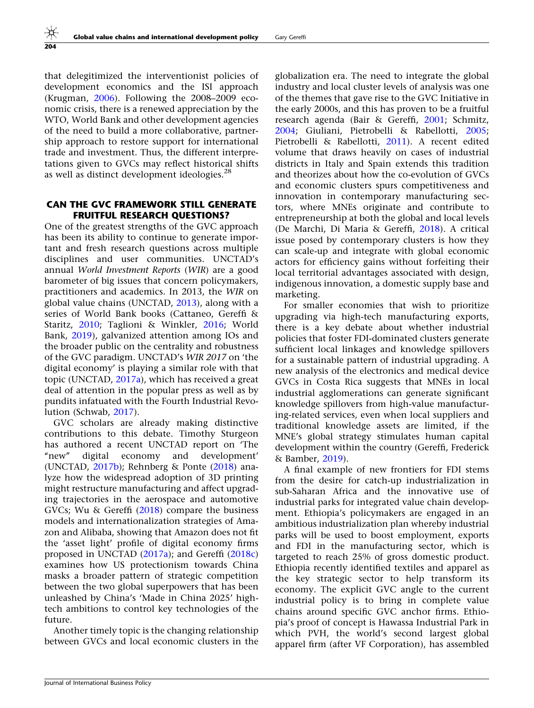that delegitimized the interventionist policies of development economics and the ISI approach (Krugman, [2006\)](#page-14-0). Following the 2008–2009 economic crisis, there is a renewed appreciation by the WTO, World Bank and other development agencies of the need to build a more collaborative, partnership approach to restore support for international trade and investment. Thus, the different interpretations given to GVCs may reflect historical shifts as well as distinct development ideologies.<sup>28</sup>

## CAN THE GVC FRAMEWORK STILL GENERATE FRUITFUL RESEARCH QUESTIONS?

One of the greatest strengths of the GVC approach has been its ability to continue to generate important and fresh research questions across multiple disciplines and user communities. UNCTAD's annual World Investment Reports (WIR) are a good barometer of big issues that concern policymakers, practitioners and academics. In 2013, the WIR on global value chains (UNCTAD, [2013\)](#page-15-0), along with a series of World Bank books (Cattaneo, Gereffi & Staritz, [2010](#page-13-0); Taglioni & Winkler, [2016;](#page-15-0) World Bank, [2019\)](#page-15-0), galvanized attention among IOs and the broader public on the centrality and robustness of the GVC paradigm. UNCTAD's WIR 2017 on 'the digital economy' is playing a similar role with that topic (UNCTAD, [2017a](#page-15-0)), which has received a great deal of attention in the popular press as well as by pundits infatuated with the Fourth Industrial Revolution (Schwab, [2017](#page-14-0)).

GVC scholars are already making distinctive contributions to this debate. Timothy Sturgeon has authored a recent UNCTAD report on 'The "new" digital economy and development' (UNCTAD, [2017b\)](#page-15-0); Rehnberg & Ponte ([2018\)](#page-14-0) analyze how the widespread adoption of 3D printing might restructure manufacturing and affect upgrading trajectories in the aerospace and automotive GVCs; Wu & Gereffi [\(2018](#page-15-0)) compare the business models and internationalization strategies of Amazon and Alibaba, showing that Amazon does not fit the 'asset light' profile of digital economy firms proposed in UNCTAD ([2017a\)](#page-15-0); and Gereffi [\(2018c\)](#page-14-0) examines how US protectionism towards China masks a broader pattern of strategic competition between the two global superpowers that has been unleashed by China's 'Made in China 2025' hightech ambitions to control key technologies of the future.

Another timely topic is the changing relationship between GVCs and local economic clusters in the

globalization era. The need to integrate the global industry and local cluster levels of analysis was one of the themes that gave rise to the GVC Initiative in the early 2000s, and this has proven to be a fruitful research agenda (Bair & Gereffi, [2001](#page-13-0); Schmitz, [2004;](#page-14-0) Giuliani, Pietrobelli & Rabellotti, [2005;](#page-14-0) Pietrobelli & Rabellotti, [2011\)](#page-14-0). A recent edited volume that draws heavily on cases of industrial districts in Italy and Spain extends this tradition and theorizes about how the co-evolution of GVCs and economic clusters spurs competitiveness and innovation in contemporary manufacturing sectors, where MNEs originate and contribute to entrepreneurship at both the global and local levels (De Marchi, Di Maria & Gereffi, [2018\)](#page-13-0). A critical issue posed by contemporary clusters is how they can scale-up and integrate with global economic actors for efficiency gains without forfeiting their local territorial advantages associated with design, indigenous innovation, a domestic supply base and marketing.

For smaller economies that wish to prioritize upgrading via high-tech manufacturing exports, there is a key debate about whether industrial policies that foster FDI-dominated clusters generate sufficient local linkages and knowledge spillovers for a sustainable pattern of industrial upgrading. A new analysis of the electronics and medical device GVCs in Costa Rica suggests that MNEs in local industrial agglomerations can generate significant knowledge spillovers from high-value manufacturing-related services, even when local suppliers and traditional knowledge assets are limited, if the MNE's global strategy stimulates human capital development within the country (Gereffi, Frederick & Bamber, [2019\)](#page-14-0).

A final example of new frontiers for FDI stems from the desire for catch-up industrialization in sub-Saharan Africa and the innovative use of industrial parks for integrated value chain development. Ethiopia's policymakers are engaged in an ambitious industrialization plan whereby industrial parks will be used to boost employment, exports and FDI in the manufacturing sector, which is targeted to reach 25% of gross domestic product. Ethiopia recently identified textiles and apparel as the key strategic sector to help transform its economy. The explicit GVC angle to the current industrial policy is to bring in complete value chains around specific GVC anchor firms. Ethiopia's proof of concept is Hawassa Industrial Park in which PVH, the world's second largest global apparel firm (after VF Corporation), has assembled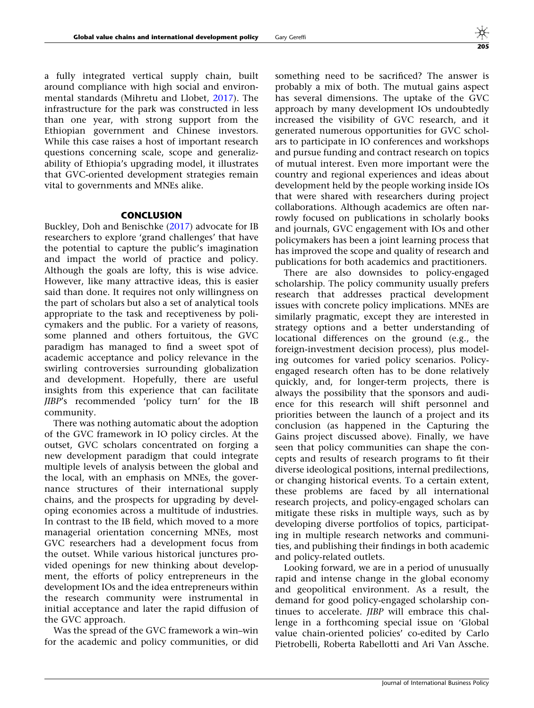a fully integrated vertical supply chain, built around compliance with high social and environmental standards (Mihretu and Llobet, [2017](#page-14-0)). The infrastructure for the park was constructed in less than one year, with strong support from the Ethiopian government and Chinese investors. While this case raises a host of important research questions concerning scale, scope and generalizability of Ethiopia's upgrading model, it illustrates that GVC-oriented development strategies remain vital to governments and MNEs alike.

#### **CONCLUSION**

Buckley, Doh and Benischke ([2017\)](#page-13-0) advocate for IB researchers to explore 'grand challenges' that have the potential to capture the public's imagination and impact the world of practice and policy. Although the goals are lofty, this is wise advice. However, like many attractive ideas, this is easier said than done. It requires not only willingness on the part of scholars but also a set of analytical tools appropriate to the task and receptiveness by policymakers and the public. For a variety of reasons, some planned and others fortuitous, the GVC paradigm has managed to find a sweet spot of academic acceptance and policy relevance in the swirling controversies surrounding globalization and development. Hopefully, there are useful insights from this experience that can facilitate JIBP's recommended 'policy turn' for the IB community.

There was nothing automatic about the adoption of the GVC framework in IO policy circles. At the outset, GVC scholars concentrated on forging a new development paradigm that could integrate multiple levels of analysis between the global and the local, with an emphasis on MNEs, the governance structures of their international supply chains, and the prospects for upgrading by developing economies across a multitude of industries. In contrast to the IB field, which moved to a more managerial orientation concerning MNEs, most GVC researchers had a development focus from the outset. While various historical junctures provided openings for new thinking about development, the efforts of policy entrepreneurs in the development IOs and the idea entrepreneurs within the research community were instrumental in initial acceptance and later the rapid diffusion of the GVC approach.

Was the spread of the GVC framework a win–win for the academic and policy communities, or did something need to be sacrificed? The answer is probably a mix of both. The mutual gains aspect has several dimensions. The uptake of the GVC approach by many development IOs undoubtedly increased the visibility of GVC research, and it generated numerous opportunities for GVC scholars to participate in IO conferences and workshops and pursue funding and contract research on topics of mutual interest. Even more important were the country and regional experiences and ideas about development held by the people working inside IOs that were shared with researchers during project collaborations. Although academics are often narrowly focused on publications in scholarly books and journals, GVC engagement with IOs and other policymakers has been a joint learning process that has improved the scope and quality of research and publications for both academics and practitioners.

There are also downsides to policy-engaged scholarship. The policy community usually prefers research that addresses practical development issues with concrete policy implications. MNEs are similarly pragmatic, except they are interested in strategy options and a better understanding of locational differences on the ground (e.g., the foreign-investment decision process), plus modeling outcomes for varied policy scenarios. Policyengaged research often has to be done relatively quickly, and, for longer-term projects, there is always the possibility that the sponsors and audience for this research will shift personnel and priorities between the launch of a project and its conclusion (as happened in the Capturing the Gains project discussed above). Finally, we have seen that policy communities can shape the concepts and results of research programs to fit their diverse ideological positions, internal predilections, or changing historical events. To a certain extent, these problems are faced by all international research projects, and policy-engaged scholars can mitigate these risks in multiple ways, such as by developing diverse portfolios of topics, participating in multiple research networks and communities, and publishing their findings in both academic and policy-related outlets.

Looking forward, we are in a period of unusually rapid and intense change in the global economy and geopolitical environment. As a result, the demand for good policy-engaged scholarship continues to accelerate. JIBP will embrace this challenge in a forthcoming special issue on 'Global value chain-oriented policies' co-edited by Carlo Pietrobelli, Roberta Rabellotti and Ari Van Assche.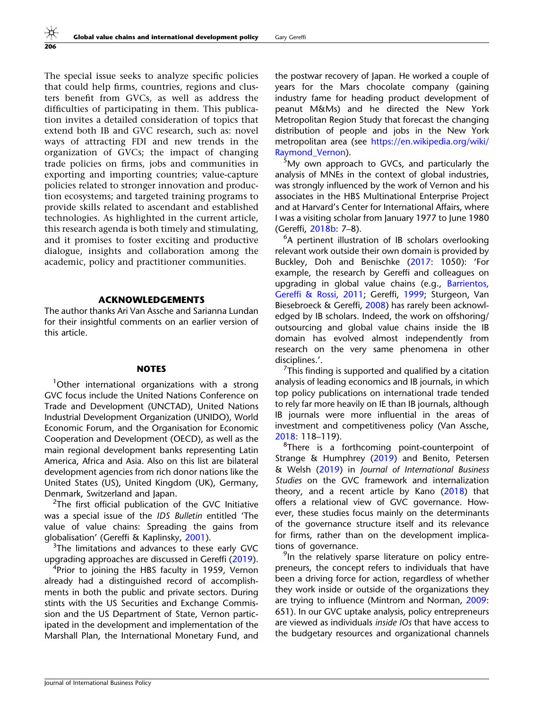The special issue seeks to analyze specific policies that could help firms, countries, regions and clusters benefit from GVCs, as well as address the difficulties of participating in them. This publication invites a detailed consideration of topics that extend both IB and GVC research, such as: novel ways of attracting FDI and new trends in the organization of GVCs; the impact of changing trade policies on firms, jobs and communities in exporting and importing countries; value-capture policies related to stronger innovation and production ecosystems; and targeted training programs to provide skills related to ascendant and established technologies. As highlighted in the current article, this research agenda is both timely and stimulating, and it promises to foster exciting and productive dialogue, insights and collaboration among the academic, policy and practitioner communities.

## ACKNOWLEDGEMENTS

The author thanks Ari Van Assche and Sarianna Lundan for their insightful comments on an earlier version of this article.

#### **NOTES**

<sup>1</sup>Other international organizations with a strong GVC focus include the United Nations Conference on Trade and Development (UNCTAD), United Nations Industrial Development Organization (UNIDO), World Economic Forum, and the Organisation for Economic Cooperation and Development (OECD), as well as the main regional development banks representing Latin America, Africa and Asia. Also on this list are bilateral development agencies from rich donor nations like the United States (US), United Kingdom (UK), Germany, Denmark, Switzerland and Japan.

<sup>2</sup>The first official publication of the GVC Initiative was a special issue of the IDS Bulletin entitled 'The value of value chains: Spreading the gains from globalisation' (Gereffi & Kaplinsky, [2001](#page-14-0)).

<sup>3</sup>The limitations and advances to these early GVC upgrading approaches are discussed in Gereffi [\(2019\)](#page-14-0).

<sup>4</sup> Prior to joining the HBS faculty in 1959, Vernon already had a distinguished record of accomplishments in both the public and private sectors. During stints with the US Securities and Exchange Commission and the US Department of State, Vernon participated in the development and implementation of the Marshall Plan, the International Monetary Fund, and

the postwar recovery of Japan. He worked a couple of years for the Mars chocolate company (gaining industry fame for heading product development of peanut M&Ms) and he directed the New York Metropolitan Region Study that forecast the changing distribution of people and jobs in the New York metropolitan area (see [https://en.wikipedia.org/wiki/](https://en.wikipedia.org/wiki/Raymond_Vernon) [Raymond\\_Vernon\)](https://en.wikipedia.org/wiki/Raymond_Vernon).

<sup>5</sup>My own approach to GVCs, and particularly the analysis of MNEs in the context of global industries, was strongly influenced by the work of Vernon and his associates in the HBS Multinational Enterprise Project and at Harvard's Center for International Affairs, where I was a visiting scholar from January 1977 to June 1980 (Gereffi, [2018b:](#page-14-0) 7–8).

<sup>6</sup>A pertinent illustration of IB scholars overlooking relevant work outside their own domain is provided by Buckley, Doh and Benischke ([2017:](#page-13-0) 1050): 'For example, the research by Gereffi and colleagues on upgrading in global value chains (e.g., [Barrientos,](#page-13-0) [Gereffi & Rossi, 2011;](#page-13-0) Gereffi, [1999](#page-14-0); Sturgeon, Van Biesebroeck & Gereffi, [2008](#page-15-0)) has rarely been acknowledged by IB scholars. Indeed, the work on offshoring/ outsourcing and global value chains inside the IB domain has evolved almost independently from research on the very same phenomena in other disciplines.'.

 $7$ This finding is supported and qualified by a citation analysis of leading economics and IB journals, in which top policy publications on international trade tended to rely far more heavily on IE than IB journals, although IB journals were more influential in the areas of investment and competitiveness policy (Van Assche, [2018:](#page-15-0) 118–119).

<sup>8</sup>There is a forthcoming point-counterpoint of Strange & Humphrey ([2019\)](#page-14-0) and Benito, Petersen & Welsh [\(2019](#page-13-0)) in Journal of International Business Studies on the GVC framework and internalization theory, and a recent article by Kano [\(2018](#page-14-0)) that offers a relational view of GVC governance. However, these studies focus mainly on the determinants of the governance structure itself and its relevance for firms, rather than on the development implications of governance.

<sup>9</sup>In the relatively sparse literature on policy entrepreneurs, the concept refers to individuals that have been a driving force for action, regardless of whether they work inside or outside of the organizations they are trying to influence (Mintrom and Norman, [2009:](#page-14-0) 651). In our GVC uptake analysis, policy entrepreneurs are viewed as individuals inside IOs that have access to the budgetary resources and organizational channels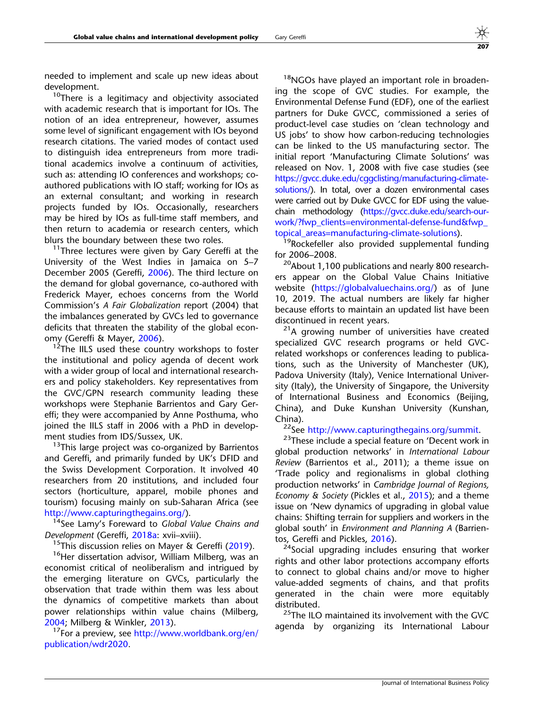needed to implement and scale up new ideas about development.

<sup>10</sup>There is a legitimacy and objectivity associated with academic research that is important for IOs. The notion of an idea entrepreneur, however, assumes some level of significant engagement with IOs beyond research citations. The varied modes of contact used to distinguish idea entrepreneurs from more traditional academics involve a continuum of activities, such as: attending IO conferences and workshops; coauthored publications with IO staff; working for IOs as an external consultant; and working in research projects funded by IOs. Occasionally, researchers may be hired by IOs as full-time staff members, and then return to academia or research centers, which blurs the boundary between these two roles.

<sup>11</sup>Three lectures were given by Gary Gereffi at the University of the West Indies in Jamaica on 5–7 December 2005 (Gereffi, [2006](#page-14-0)). The third lecture on the demand for global governance, co-authored with Frederick Mayer, echoes concerns from the World Commission's A Fair Globalization report (2004) that the imbalances generated by GVCs led to governance deficits that threaten the stability of the global economy (Gereffi & Mayer, [2006\)](#page-14-0).

<sup>12</sup>The IILS used these country workshops to foster the institutional and policy agenda of decent work with a wider group of local and international researchers and policy stakeholders. Key representatives from the GVC/GPN research community leading these workshops were Stephanie Barrientos and Gary Gereffi; they were accompanied by Anne Posthuma, who joined the IILS staff in 2006 with a PhD in development studies from IDS/Sussex, UK.

<sup>13</sup>This large project was co-organized by Barrientos and Gereffi, and primarily funded by UK's DFID and the Swiss Development Corporation. It involved 40 researchers from 20 institutions, and included four sectors (horticulture, apparel, mobile phones and tourism) focusing mainly on sub-Saharan Africa (see [http://www.capturingthegains.org/\)](http://www.capturingthegains.org/).

<sup>14</sup>See Lamy's Foreward to Global Value Chains and Development (Gereffi, [2018a](#page-14-0): xvii-xviii).

<sup>15</sup>This discussion relies on Mayer & Gereffi [\(2019\)](#page-14-0).

<sup>16</sup>Her dissertation advisor, William Milberg, was an economist critical of neoliberalism and intrigued by the emerging literature on GVCs, particularly the observation that trade within them was less about the dynamics of competitive markets than about power relationships within value chains (Milberg, [2004;](#page-14-0) Milberg & Winkler, [2013](#page-14-0)).

<sup>17</sup>For a preview, see [http://www.worldbank.org/en/](http://www.worldbank.org/en/publication/wdr2020) [publication/wdr2020.](http://www.worldbank.org/en/publication/wdr2020)

<sup>18</sup>NGOs have played an important role in broadening the scope of GVC studies. For example, the Environmental Defense Fund (EDF), one of the earliest partners for Duke GVCC, commissioned a series of product-level case studies on 'clean technology and US jobs' to show how carbon-reducing technologies can be linked to the US manufacturing sector. The initial report 'Manufacturing Climate Solutions' was released on Nov. 1, 2008 with five case studies (see [https://gvcc.duke.edu/cggclisting/manufacturing-climate](https://gvcc.duke.edu/cggclisting/manufacturing-climate-solutions/)[solutions/](https://gvcc.duke.edu/cggclisting/manufacturing-climate-solutions/)). In total, over a dozen environmental cases were carried out by Duke GVCC for EDF using the valuechain methodology [\(https://gvcc.duke.edu/search-our](https://gvcc.duke.edu/search-our-work/%3ffwp_clients%3denvironmental-defense-fund%26fwp_topical_areas%3dmanufacturing-climate-solutions)work/?fwp\_clients=environmental-defense-fund&fwp [topical\\_areas=manufacturing-climate-solutions\)](https://gvcc.duke.edu/search-our-work/%3ffwp_clients%3denvironmental-defense-fund%26fwp_topical_areas%3dmanufacturing-climate-solutions).

<sup>19</sup>Rockefeller also provided supplemental funding for 2006–2008.

<sup>20</sup>About 1,100 publications and nearly 800 researchers appear on the Global Value Chains Initiative website [\(https://globalvaluechains.org/](https://globalvaluechains.org/)) as of June 10, 2019. The actual numbers are likely far higher because efforts to maintain an updated list have been discontinued in recent years.

 $21A$  growing number of universities have created specialized GVC research programs or held GVCrelated workshops or conferences leading to publications, such as the University of Manchester (UK), Padova University (Italy), Venice International University (Italy), the University of Singapore, the University of International Business and Economics (Beijing, China), and Duke Kunshan University (Kunshan, China).

<sup>22</sup>See [http://www.capturingthegains.org/summit.](http://www.capturingthegains.org/summit)<br><sup>23</sup>These include a special feature on 'Decent work in

global production networks' in International Labour Review (Barrientos et al., 2011); a theme issue on 'Trade policy and regionalisms in global clothing production networks' in Cambridge Journal of Regions, Economy & Society (Pickles et al., [2015\)](#page-14-0); and a theme issue on 'New dynamics of upgrading in global value chains: Shifting terrain for suppliers and workers in the global south' in Environment and Planning A (Barrientos, Gereffi and Pickles, [2016](#page-13-0)).

<sup>24</sup>Social upgrading includes ensuring that worker rights and other labor protections accompany efforts to connect to global chains and/or move to higher value-added segments of chains, and that profits generated in the chain were more equitably distributed.

<sup>25</sup>The ILO maintained its involvement with the GVC agenda by organizing its International Labour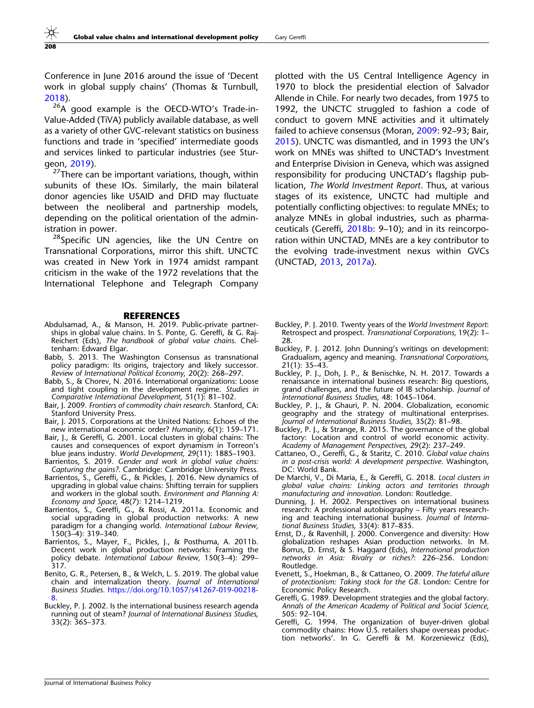<span id="page-13-0"></span>Conference in June 2016 around the issue of 'Decent work in global supply chains' (Thomas & Turnbull, [2018\)](#page-15-0).

 $^{26}$ A good example is the OECD-WTO's Trade-in-Value-Added (TiVA) publicly available database, as well as a variety of other GVC-relevant statistics on business functions and trade in 'specified' intermediate goods and services linked to particular industries (see Sturgeon, [2019](#page-14-0)).

 $27$ There can be important variations, though, within subunits of these IOs. Similarly, the main bilateral donor agencies like USAID and DFID may fluctuate between the neoliberal and partnership models, depending on the political orientation of the administration in power.

<sup>28</sup>Specific UN agencies, like the UN Centre on Transnational Corporations, mirror this shift. UNCTC was created in New York in 1974 amidst rampant criticism in the wake of the 1972 revelations that the International Telephone and Telegraph Company

#### **REFERENCES**

- Abdulsamad, A., & Manson, H. 2019. Public-private partnerships in global value chains. In S. Ponte, G. Gereffi, & G. Raj-Reichert (Eds), The handbook of global value chains. Cheltenham: Edward Elgar.
- Babb, S. 2013. The Washington Consensus as transnational policy paradigm: Its origins, trajectory and likely successor. Review of International Political Economy, 20(2): 268–297.
- Babb, S., & Chorev, N. 2016. International organizations: Loose and tight coupling in the development regime. Studies in Comparative International Development, 51(1): 81–102.
- Bair, J. 2009. Frontiers of commodity chain research. Stanford, CA: Stanford University Press.
- Bair, J. 2015. Corporations at the United Nations: Echoes of the new international economic order? Humanity, 6(1): 159–171.
- Bair, J., & Gereffi, G. 2001. Local clusters in global chains: The causes and consequences of export dynamism in Torreon's blue jeans industry. World Development, 29(11): 1885–1903.
- Barrientos, S. 2019. Gender and work in global value chains: Capturing the gains?. Cambridge: Cambridge University Press.
- Barrientos, S., Gereffi, G., & Pickles, J. 2016. New dynamics of upgrading in global value chains: Shifting terrain for suppliers and workers in the global south. Environment and Planning A: Economy and Space, 48(7): 1214–1219.
- Barrientos, S., Gereffi, G., & Rossi, A. 2011a. Economic and social upgrading in global production networks: A new paradigm for a changing world. International Labour Review, 150(3–4): 319–340.
- Barrientos, S., Mayer, F., Pickles, J., & Posthuma, A. 2011b. Decent work in global production networks: Framing the policy debate. International Labour Review, 150(3–4): 299– 317.
- Benito, G. R., Petersen, B., & Welch, L. S. 2019. The global value chain and internalization theory. Journal of International Business Studies. [https://doi.org/10.1057/s41267-019-00218-](http://dx.doi.org/10.1057/s41267-019-00218-8) [8](http://dx.doi.org/10.1057/s41267-019-00218-8).
- Buckley, P. J. 2002. Is the international business research agenda running out of steam? Journal of International Business Studies, 33(2): 365–373.

plotted with the US Central Intelligence Agency in 1970 to block the presidential election of Salvador Allende in Chile. For nearly two decades, from 1975 to 1992, the UNCTC struggled to fashion a code of conduct to govern MNE activities and it ultimately failed to achieve consensus (Moran, [2009:](#page-14-0) 92–93; Bair, 2015). UNCTC was dismantled, and in 1993 the UN's work on MNEs was shifted to UNCTAD's Investment and Enterprise Division in Geneva, which was assigned responsibility for producing UNCTAD's flagship publication, The World Investment Report. Thus, at various stages of its existence, UNCTC had multiple and potentially conflicting objectives: to regulate MNEs; to analyze MNEs in global industries, such as pharmaceuticals (Gereffi, [2018b:](#page-14-0) 9–10); and in its reincorporation within UNCTAD, MNEs are a key contributor to the evolving trade-investment nexus within GVCs (UNCTAD, [2013](#page-15-0), [2017a](#page-15-0)).

- Buckley, P. J. 2010. Twenty years of the World Investment Report: Retrospect and prospect. Transnational Corporations, 19(2): 1– 28.
- Buckley, P. J. 2012. John Dunning's writings on development: Gradualism, agency and meaning. Transnational Corporations, 21(1): 35–43.
- Buckley, P. J., Doh, J. P., & Benischke, N. H. 2017. Towards a renaissance in international business research: Big questions, grand challenges, and the future of IB scholarship. Journal of International Business Studies, 48: 1045–1064.
- Buckley, P. J., & Ghauri, P. N. 2004. Globalization, economic geography and the strategy of multinational enterprises. Journal of International Business Studies, 35(2): 81–98.
- Buckley, P. J., & Strange, R. 2015. The governance of the global factory: Location and control of world economic activity. Academy of Management Perspectives, 29(2): 237–249.
- Cattaneo, O., Gereffi, G., & Staritz, C. 2010. Global value chains in a post-crisis world: A development perspective. Washington, DC: World Bank.
- De Marchi, V., Di Maria, E., & Gereffi, G. 2018. Local clusters in global value chains: Linking actors and territories through manufacturing and innovation. London: Routledge.
- Dunning, J. H. 2002. Perspectives on international business research: A professional autobiography – Fifty years researching and teaching international business. Journal of International Business Studies, 33(4): 817–835.
- Ernst, D., & Ravenhill, J. 2000. Convergence and diversity: How globalization reshapes Asian production networks. In M. Borrus, D. Ernst, & S. Haggard (Eds), International production networks in Asia: Rivalry or riches?: 226–256. London: Routledge.
- Evenett, S., Hoekman, B., & Cattaneo, O. 2009. The fateful allure of protectionism: Taking stock for the G8. London: Centre for Economic Policy Research.
- Gereffi, G. 1989. Development strategies and the global factory. Annals of the American Academy of Political and Social Science, 505: 92–104.
- Gereffi, G. 1994. The organization of buyer-driven global commodity chains: How U.S. retailers shape overseas production networks'. In G. Gereffi & M. Korzeniewicz (Eds),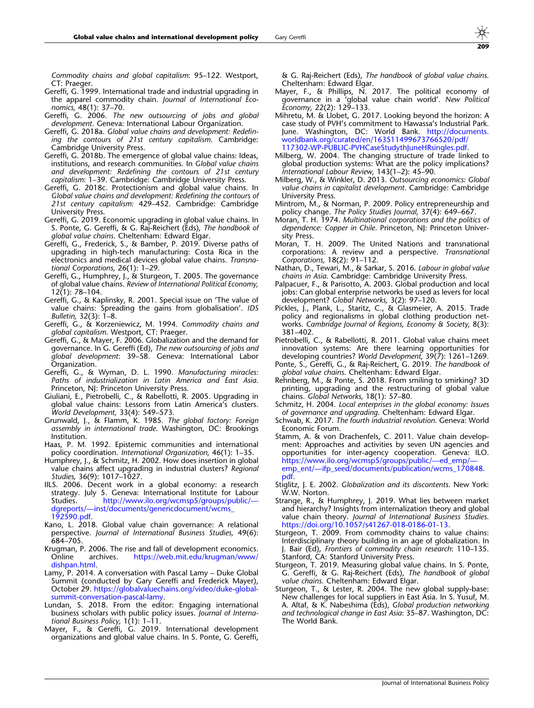<span id="page-14-0"></span>Commodity chains and global capitalism: 95–122. Westport, CT: Praeger.

- Gereffi, G. 1999. International trade and industrial upgrading in the apparel commodity chain. Journal of International Economics, 48(1): 37–70.
- Gereffi, G. 2006. The new outsourcing of jobs and global development. Geneva: International Labour Organization.
- Gereffi, G. 2018a. Global value chains and development: Redefining the contours of 21st century capitalism. Cambridge: Cambridge University Press.
- Gereffi, G. 2018b. The emergence of global value chains: Ideas, institutions, and research communities. In Global value chains and development: Redefining the contours of 21st century capitalism: 1-39. Cambridge: Cambridge University Press.
- Gereffi, G. 2018c. Protectionism and global value chains. In Global value chains and development: Redefining the contours of 21st century capitalism: 429–452. Cambridge: Cambridge University Press.
- Gereffi, G. 2019. Economic upgrading in global value chains. In S. Ponte, G. Gereffi, & G. Raj-Reichert (Eds), The handbook of global value chains. Cheltenham: Edward Elgar.
- Gereffi, G., Frederick, S., & Bamber, P. 2019. Diverse paths of upgrading in high-tech manufacturing: Costa Rica in the electronics and medical devices global value chains. Transnational Corporations, 26(1): 1–29.
- Gereffi, G., Humphrey, J., & Sturgeon, T. 2005. The governance of global value chains. Review of International Political Economy, 12(1): 78–104.
- Gereffi, G., & Kaplinsky, R. 2001. Special issue on 'The value of value chains: Spreading the gains from globalisation'. IDS Bulletin, 32(3): 1–8.
- Gereffi, G., & Korzeniewicz, M. 1994. Commodity chains and global capitalism. Westport, CT: Praeger.
- Gereffi, G., & Mayer, F. 2006. Globalization and the demand for governance. In G. Gereffi (Ed), The new outsourcing of jobs and global development: 39–58. Geneva: International Labor Organization.
- Gereffi, G., & Wyman, D. L. 1990. Manufacturing miracles: Paths of industrialization in Latin America and East Asia. Princeton, NJ: Princeton University Press.
- Giuliani, E., Pietrobelli, C., & Rabellotti, R. 2005. Upgrading in global value chains: Lessons from Latin America's clusters. World Development, 33(4): 549–573.
- Grunwald, J., & Flamm, K. 1985. The global factory: Foreign assembly in international trade. Washington, DC: Brookings Institution.
- Haas, P. M. 1992. Epistemic communities and international policy coordination. International Organization, 46(1): 1–35.
- Humphrey, J., & Schmitz, H. 2002. How does insertion in global value chains affect upgrading in industrial clusters? *Regional* Studies, 36(9): 1017–1027.
- IILS. 2006. Decent work in a global economy: a research strategy. July 5. Geneva: International Institute for Labour<br>Studies http://www.jlo.org/wcmsp5/groups/public/ http://www.ilo.org/wcmsp5/groups/public/[dgreports/—inst/documents/genericdocument/wcms\\_](http://www.ilo.org/wcmsp5/groups/public/%e2%80%94dgreports/%e2%80%94inst/documents/genericdocument/wcms_192590.pdf) [192590.pdf](http://www.ilo.org/wcmsp5/groups/public/%e2%80%94dgreports/%e2%80%94inst/documents/genericdocument/wcms_192590.pdf).
- Kano, L. 2018. Global value chain governance: A relational perspective. Journal of International Business Studies, 49(6): 684–705.
- Krugman, P. 2006. The rise and fall of development economics. Online archives. [https://web.mit.edu/krugman/www/](https://web.mit.edu/krugman/www/dishpan.html) [dishpan.html.](https://web.mit.edu/krugman/www/dishpan.html)
- Lamy, P. 2014. A conversation with Pascal Lamy Duke Global Summit (conducted by Gary Gereffi and Frederick Mayer), October 29. [https://globalvaluechains.org/video/duke-global](https://globalvaluechains.org/video/duke-global-summit-conversation-pascal-lamy)[summit-conversation-pascal-lamy](https://globalvaluechains.org/video/duke-global-summit-conversation-pascal-lamy).
- Lundan, S. 2018. From the editor: Engaging international business scholars with public policy issues. Journal of International Business Policy, 1(1): 1–11.
- Mayer, F., & Gereffi, G. 2019. International development organizations and global value chains. In S. Ponte, G. Gereffi,

& G. Raj-Reichert (Eds), The handbook of global value chains. Cheltenham: Edward Elgar.

- Mayer, F., & Phillips, N. 2017. The political economy of governance in a 'global value chain world'. New Political Economy, 22(2): 129–133.
- Mihretu, M. & Llobet, G. 2017. Looking beyond the horizon: A case study of PVH's commitment to Hawassa's Industrial Park. June. Washington, DC: World Bank. [http://documents.](http://documents.worldbank.org/curated/en/163511499673766520/pdf/117302-WP-PUBLIC-PVHCaseStudythJuneHRsingles.pdf) [worldbank.org/curated/en/163511499673766520/pdf/](http://documents.worldbank.org/curated/en/163511499673766520/pdf/117302-WP-PUBLIC-PVHCaseStudythJuneHRsingles.pdf) [117302-WP-PUBLIC-PVHCaseStudythJuneHRsingles.pdf](http://documents.worldbank.org/curated/en/163511499673766520/pdf/117302-WP-PUBLIC-PVHCaseStudythJuneHRsingles.pdf).
- Milberg, W. 2004. The changing structure of trade linked to global production systems: What are the policy implications? International Labour Review, 143(1–2): 45–90.
- Milberg, W., & Winkler, D. 2013. Outsourcing economics: Global value chains in capitalist development. Cambridge: Cambridge University Press.
- Mintrom, M., & Norman, P. 2009. Policy entrepreneurship and policy change. The Policy Studies Journal, 37(4): 649–667.
- Moran, T. H. 1974. Multinational corporations and the politics of dependence: Copper in Chile. Princeton, NJ: Princeton University Press.
- Moran, T. H. 2009. The United Nations and transnational corporations: A review and a perspective. Transnational Corporations, 18(2): 91–112.
- Nathan, D., Tewari, M., & Sarkar, S. 2016. Labour in global value chains in Asia. Cambridge: Cambridge University Press.
- Palpacuer, F., & Parisotto, A. 2003. Global production and local jobs: Can global enterprise networks be used as levers for local development? Global Networks, 3(2): 97–120.
- Pickles, J., Plank, L., Staritz, C., & Glasmeier, A. 2015. Trade policy and regionalisms in global clothing production networks. Cambridge Journal of Regions, Economy & Society, 8(3): 381–402.
- Pietrobelli, C., & Rabellotti, R. 2011. Global value chains meet innovation systems: Are there learning opportunities for developing countries? World Development, 39(7): 1261-1269.
- Ponte, S., Gereffi, G., & Raj-Reichert, G. 2019. The handbook of global value chains. Cheltenham: Edward Elgar.
- Rehnberg, M., & Ponte, S. 2018. From smiling to smirking? 3D printing, upgrading and the restructuring of global value chains. Global Networks, 18(1): 57–80.
- Schmitz, H. 2004. Local enterprises in the global economy: Issues of governance and upgrading. Cheltenham: Edward Elgar.
- Schwab, K. 2017. The fourth industrial revolution. Geneva: World Economic Forum.
- Stamm, A. & von Drachenfels, C. 2011. Value chain development: Approaches and activities by seven UN agencies and opportunities for inter-agency cooperation. Geneva: ILO. https://www.ilo.org/wcmsp5/groups/public/—ed\_emp/ [emp\\_ent/—ifp\\_seed/documents/publication/wcms\\_170848.](https://www.ilo.org/wcmsp5/groups/public/%e2%80%94ed_emp/%e2%80%94emp_ent/%e2%80%94ifp_seed/documents/publication/wcms_170848.pdf) [pdf.](https://www.ilo.org/wcmsp5/groups/public/%e2%80%94ed_emp/%e2%80%94emp_ent/%e2%80%94ifp_seed/documents/publication/wcms_170848.pdf)
- Stiglitz, J. E. 2002. Globalization and its discontents. New York: W.W. Norton.
- Strange, R., & Humphrey, J. 2019. What lies between market and hierarchy? Insights from internalization theory and global value chain theory. Journal of International Business Studies. [https://doi.org/10.1057/s41267-018-0186-01-13.](http://dx.doi.org/10.1057/s41267-018-0186-01-13)
- Sturgeon, T. 2009. From commodity chains to value chains: Interdisciplinary theory building in an age of globalization. In J. Bair (Ed), Frontiers of commodity chain research: 110–135. Stanford, CA: Stanford University Press.
- Sturgeon, T. 2019. Measuring global value chains. In S. Ponte, G. Gereffi, & G. Raj-Reichert (Eds), The handbook of global value chains. Cheltenham: Edward Elgar.
- Sturgeon, T., & Lester, R. 2004. The new global supply-base: New challenges for local suppliers in East Asia. In S. Yusuf, M. A. Altaf, & K. Nabeshima (Eds), Global production networking and technological change in East Asia: 35–87. Washington, DC: The World Bank.